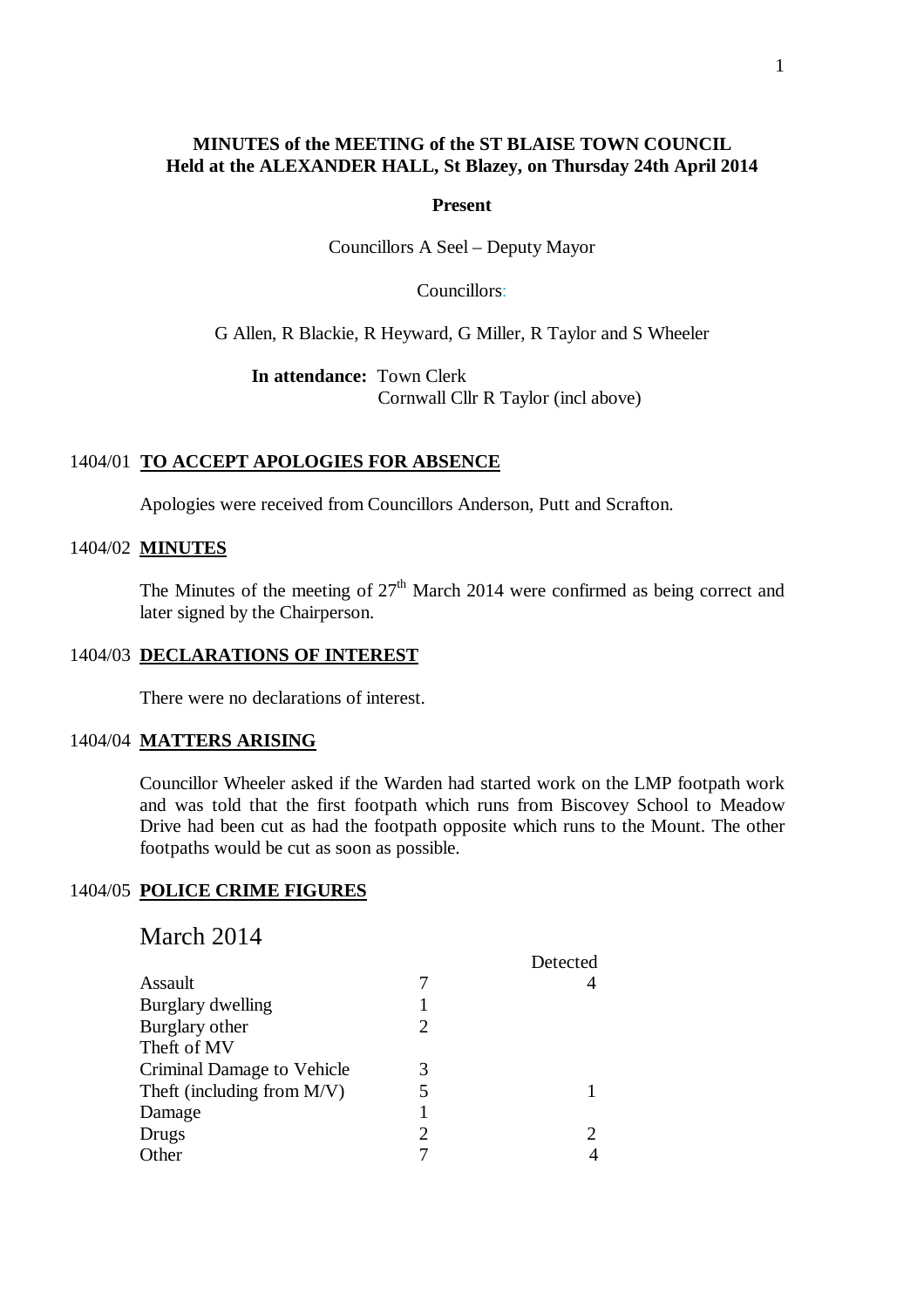# **MINUTES of the MEETING of the ST BLAISE TOWN COUNCIL Held at the ALEXANDER HALL, St Blazey, on Thursday 24th April 2014**

#### **Present**

Councillors A Seel – Deputy Mayor

Councillors:

G Allen, R Blackie, R Heyward, G Miller, R Taylor and S Wheeler

**In attendance:** Town Clerk Cornwall Cllr R Taylor (incl above)

### 1404/01 **TO ACCEPT APOLOGIES FOR ABSENCE**

Apologies were received from Councillors Anderson, Putt and Scrafton.

#### 1404/02 **MINUTES**

The Minutes of the meeting of  $27<sup>th</sup>$  March 2014 were confirmed as being correct and later signed by the Chairperson.

# 1404/03 **DECLARATIONS OF INTEREST**

There were no declarations of interest.

#### 1404/04 **MATTERS ARISING**

Councillor Wheeler asked if the Warden had started work on the LMP footpath work and was told that the first footpath which runs from Biscovey School to Meadow Drive had been cut as had the footpath opposite which runs to the Mount. The other footpaths would be cut as soon as possible.

## 1404/05 **POLICE CRIME FIGURES**

# March 2014

|                               |                       | Detected                    |
|-------------------------------|-----------------------|-----------------------------|
| Assault                       |                       |                             |
| <b>Burglary dwelling</b>      |                       |                             |
| Burglary other                | 2                     |                             |
| Theft of MV                   |                       |                             |
| Criminal Damage to Vehicle    | 3                     |                             |
| Theft (including from $M/V$ ) |                       |                             |
| Damage                        |                       |                             |
| Drugs                         | $\mathcal{D}_{\cdot}$ | $\mathcal{D}_{\mathcal{A}}$ |
| Other                         |                       |                             |
|                               |                       |                             |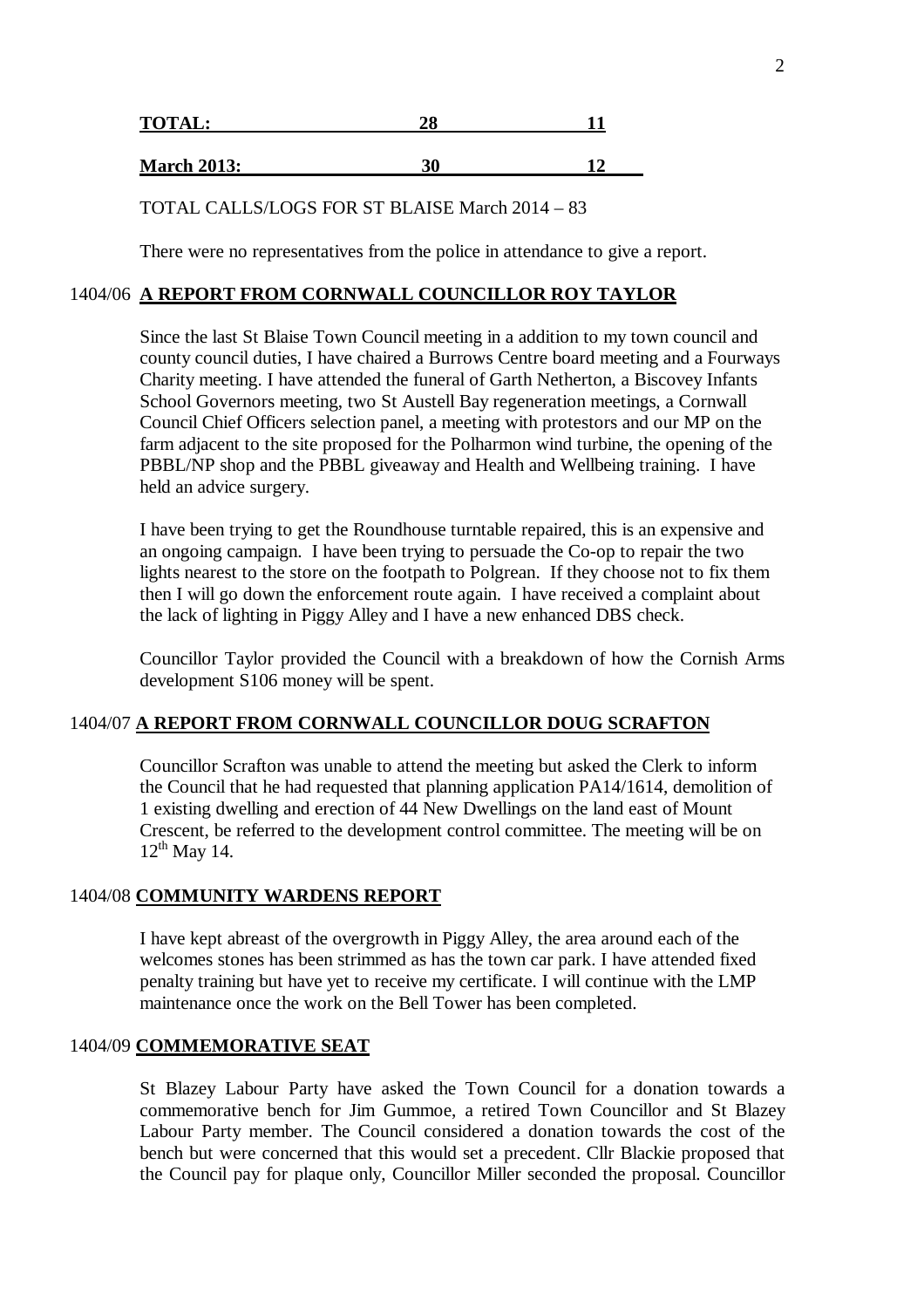| <b>TOTAL:</b>      |    |     |
|--------------------|----|-----|
|                    |    |     |
| <b>March 2013:</b> | ኃበ | 1 4 |

TOTAL CALLS/LOGS FOR ST BLAISE March 2014 – 83

There were no representatives from the police in attendance to give a report.

# 1404/06 **A REPORT FROM CORNWALL COUNCILLOR ROY TAYLOR**

Since the last St Blaise Town Council meeting in a addition to my town council and county council duties, I have chaired a Burrows Centre board meeting and a Fourways Charity meeting. I have attended the funeral of Garth Netherton, a Biscovey Infants School Governors meeting, two St Austell Bay regeneration meetings, a Cornwall Council Chief Officers selection panel, a meeting with protestors and our MP on the farm adjacent to the site proposed for the Polharmon wind turbine, the opening of the PBBL/NP shop and the PBBL giveaway and Health and Wellbeing training. I have held an advice surgery.

I have been trying to get the Roundhouse turntable repaired, this is an expensive and an ongoing campaign. I have been trying to persuade the Co-op to repair the two lights nearest to the store on the footpath to Polgrean. If they choose not to fix them then I will go down the enforcement route again. I have received a complaint about the lack of lighting in Piggy Alley and I have a new enhanced DBS check.

Councillor Taylor provided the Council with a breakdown of how the Cornish Arms development S106 money will be spent.

### 1404/07 **A REPORT FROM CORNWALL COUNCILLOR DOUG SCRAFTON**

Councillor Scrafton was unable to attend the meeting but asked the Clerk to inform the Council that he had requested that planning application PA14/1614, demolition of 1 existing dwelling and erection of 44 New Dwellings on the land east of Mount Crescent, be referred to the development control committee. The meeting will be on  $12^{th}$  May 14.

# 1404/08 **COMMUNITY WARDENS REPORT**

I have kept abreast of the overgrowth in Piggy Alley, the area around each of the welcomes stones has been strimmed as has the town car park. I have attended fixed penalty training but have yet to receive my certificate. I will continue with the LMP maintenance once the work on the Bell Tower has been completed.

### 1404/09 **COMMEMORATIVE SEAT**

St Blazey Labour Party have asked the Town Council for a donation towards a commemorative bench for Jim Gummoe, a retired Town Councillor and St Blazey Labour Party member. The Council considered a donation towards the cost of the bench but were concerned that this would set a precedent. Cllr Blackie proposed that the Council pay for plaque only, Councillor Miller seconded the proposal. Councillor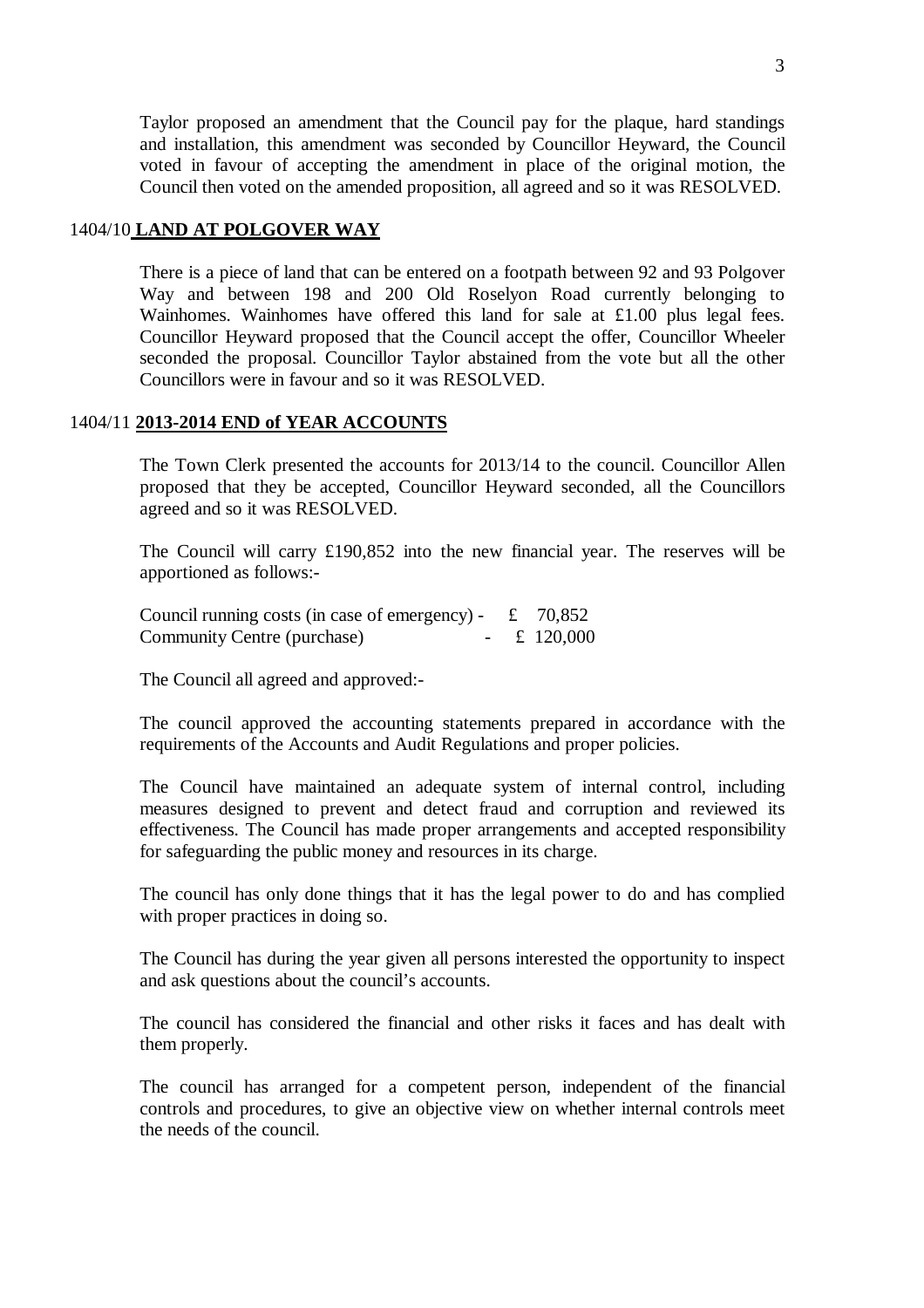Taylor proposed an amendment that the Council pay for the plaque, hard standings and installation, this amendment was seconded by Councillor Heyward, the Council voted in favour of accepting the amendment in place of the original motion, the Council then voted on the amended proposition, all agreed and so it was RESOLVED.

# 1404/10 **LAND AT POLGOVER WAY**

There is a piece of land that can be entered on a footpath between 92 and 93 Polgover Way and between 198 and 200 Old Roselyon Road currently belonging to Wainhomes. Wainhomes have offered this land for sale at £1.00 plus legal fees. Councillor Heyward proposed that the Council accept the offer, Councillor Wheeler seconded the proposal. Councillor Taylor abstained from the vote but all the other Councillors were in favour and so it was RESOLVED.

# 1404/11 **2013-2014 END of YEAR ACCOUNTS**

The Town Clerk presented the accounts for 2013/14 to the council. Councillor Allen proposed that they be accepted, Councillor Heyward seconded, all the Councillors agreed and so it was RESOLVED.

The Council will carry £190,852 into the new financial year. The reserves will be apportioned as follows:-

Council running costs (in case of emergency) -  $\pm$  70,852<br>Community Centre (purchase) -  $\pm$  120,000 Community Centre (purchase)

The Council all agreed and approved:-

The council approved the accounting statements prepared in accordance with the requirements of the Accounts and Audit Regulations and proper policies.

The Council have maintained an adequate system of internal control, including measures designed to prevent and detect fraud and corruption and reviewed its effectiveness. The Council has made proper arrangements and accepted responsibility for safeguarding the public money and resources in its charge.

The council has only done things that it has the legal power to do and has complied with proper practices in doing so.

The Council has during the year given all persons interested the opportunity to inspect and ask questions about the council's accounts.

The council has considered the financial and other risks it faces and has dealt with them properly.

The council has arranged for a competent person, independent of the financial controls and procedures, to give an objective view on whether internal controls meet the needs of the council.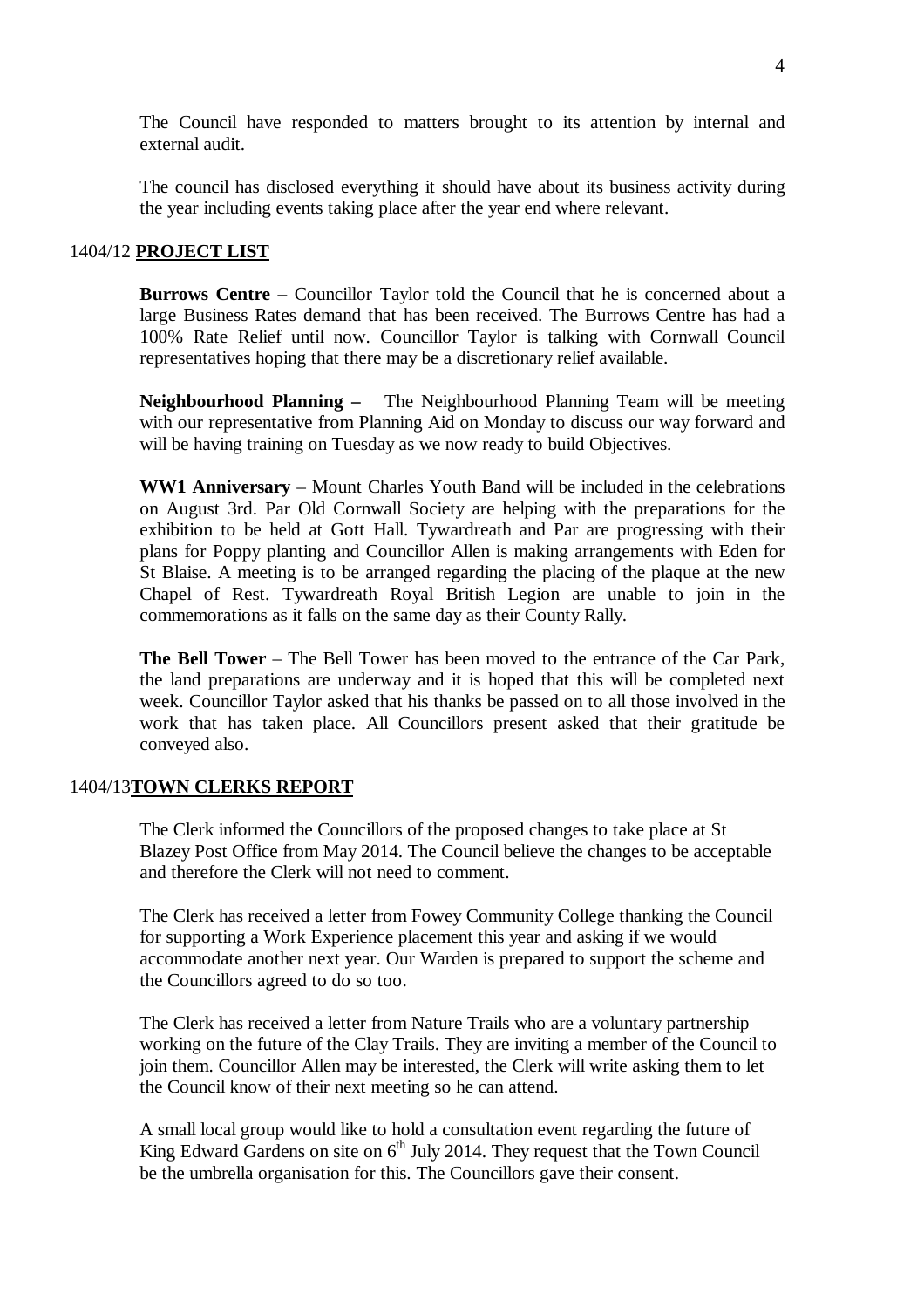The Council have responded to matters brought to its attention by internal and external audit.

The council has disclosed everything it should have about its business activity during the year including events taking place after the year end where relevant.

#### 1404/12 **PROJECT LIST**

**Burrows Centre –** Councillor Taylor told the Council that he is concerned about a large Business Rates demand that has been received. The Burrows Centre has had a 100% Rate Relief until now. Councillor Taylor is talking with Cornwall Council representatives hoping that there may be a discretionary relief available.

**Neighbourhood Planning –** The Neighbourhood Planning Team will be meeting with our representative from Planning Aid on Monday to discuss our way forward and will be having training on Tuesday as we now ready to build Objectives.

**WW1 Anniversary** – Mount Charles Youth Band will be included in the celebrations on August 3rd. Par Old Cornwall Society are helping with the preparations for the exhibition to be held at Gott Hall. Tywardreath and Par are progressing with their plans for Poppy planting and Councillor Allen is making arrangements with Eden for St Blaise. A meeting is to be arranged regarding the placing of the plaque at the new Chapel of Rest. Tywardreath Royal British Legion are unable to join in the commemorations as it falls on the same day as their County Rally.

**The Bell Tower** – The Bell Tower has been moved to the entrance of the Car Park, the land preparations are underway and it is hoped that this will be completed next week. Councillor Taylor asked that his thanks be passed on to all those involved in the work that has taken place. All Councillors present asked that their gratitude be conveyed also.

# 1404/13**TOWN CLERKS REPORT**

The Clerk informed the Councillors of the proposed changes to take place at St Blazey Post Office from May 2014. The Council believe the changes to be acceptable and therefore the Clerk will not need to comment.

The Clerk has received a letter from Fowey Community College thanking the Council for supporting a Work Experience placement this year and asking if we would accommodate another next year. Our Warden is prepared to support the scheme and the Councillors agreed to do so too.

The Clerk has received a letter from Nature Trails who are a voluntary partnership working on the future of the Clay Trails. They are inviting a member of the Council to join them. Councillor Allen may be interested, the Clerk will write asking them to let the Council know of their next meeting so he can attend.

A small local group would like to hold a consultation event regarding the future of King Edward Gardens on site on  $6<sup>th</sup>$  July 2014. They request that the Town Council be the umbrella organisation for this. The Councillors gave their consent.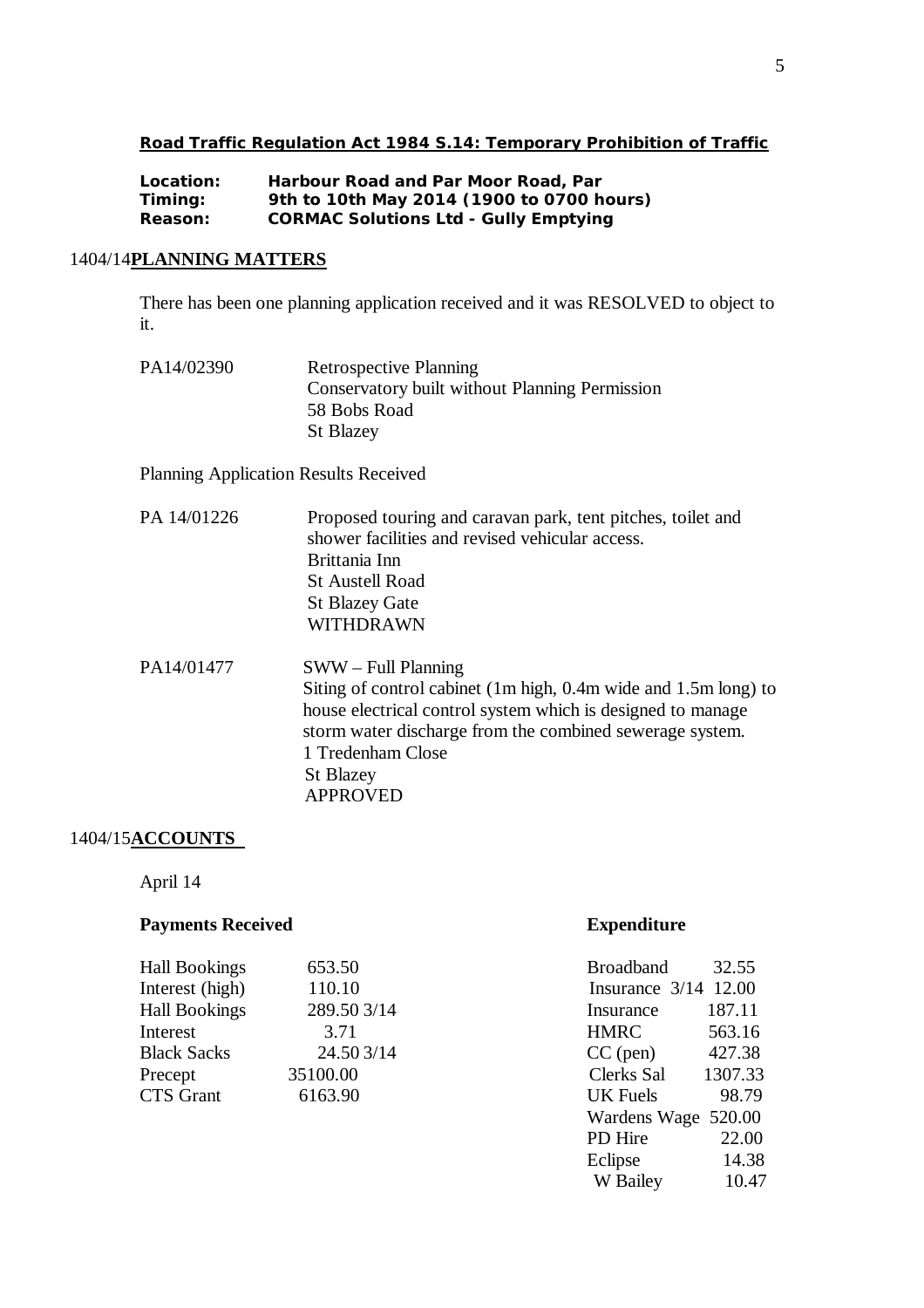# **Road Traffic Regulation Act 1984 S.14: Temporary Prohibition of Traffic**

| Location: | Harbour Road and Par Moor Road, Par          |
|-----------|----------------------------------------------|
| Timing:   | 9th to 10th May 2014 (1900 to 0700 hours)    |
| Reason:   | <b>CORMAC Solutions Ltd - Gully Emptying</b> |

# 1404/14**PLANNING MATTERS**

There has been one planning application received and it was RESOLVED to object to it.

| PA14/02390 | <b>Retrospective Planning</b>                         |
|------------|-------------------------------------------------------|
|            | <b>Conservatory built without Planning Permission</b> |
|            | 58 Bobs Road                                          |
|            | <b>St Blazey</b>                                      |

Planning Application Results Received

| PA 14/01226 | Proposed touring and caravan park, tent pitches, toilet and<br>shower facilities and revised vehicular access.<br>Brittania Inn<br><b>St Austell Road</b><br><b>St Blazey Gate</b><br><b>WITHDRAWN</b>                                                       |
|-------------|--------------------------------------------------------------------------------------------------------------------------------------------------------------------------------------------------------------------------------------------------------------|
| PA14/01477  | $SWW - Full Planning$<br>Siting of control cabinet (1m high, 0.4m wide and 1.5m long) to<br>house electrical control system which is designed to manage<br>storm water discharge from the combined sewerage system.<br>1 Tredenham Close<br><b>St Blazey</b> |

APPROVED

# 1404/15**ACCOUNTS**

April 14

# **Payments Received <b>Expenditure**

| <b>Hall Bookings</b> | 653.50      | <b>Broadband</b><br>32.55 |
|----------------------|-------------|---------------------------|
| Interest (high)      | 110.10      | Insurance $3/14$ 12.00    |
| <b>Hall Bookings</b> | 289.50 3/14 | 187.11<br>Insurance       |
| Interest             | 3.71        | <b>HMRC</b><br>563.16     |
| <b>Black Sacks</b>   | 24.503/14   | 427.38<br>$CC$ (pen)      |
| Precept              | 35100.00    | Clerks Sal<br>1307.33     |
| <b>CTS</b> Grant     | 6163.90     | UK Fuels<br>98.79         |
|                      |             |                           |

| 32.55                |
|----------------------|
| Insurance 3/14 12.00 |
| 187.11               |
| 563.16               |
| 427.38               |
| 1307.33              |
| 98.79                |
| Wardens Wage 520.00  |
| 22.00                |
| 14.38                |
| 10.47                |
|                      |